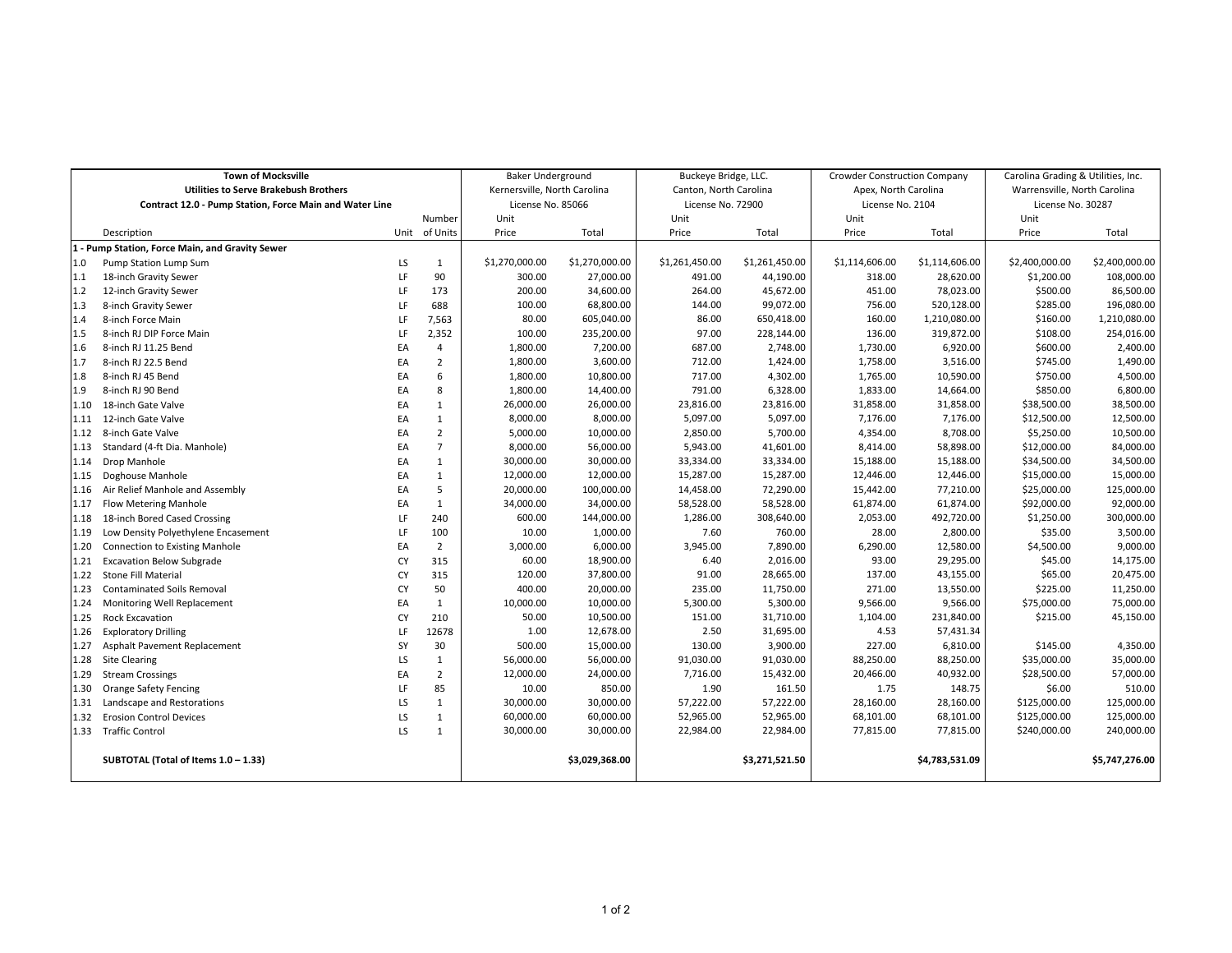| <b>Town of Mocksville</b>                               |                                       |    |                   | <b>Baker Underground</b>     |                   | Buckeye Bridge, LLC.   |                  | <b>Crowder Construction Company</b> |                   | Carolina Grading & Utilities, Inc. |                |
|---------------------------------------------------------|---------------------------------------|----|-------------------|------------------------------|-------------------|------------------------|------------------|-------------------------------------|-------------------|------------------------------------|----------------|
| <b>Utilities to Serve Brakebush Brothers</b>            |                                       |    |                   | Kernersville, North Carolina |                   | Canton, North Carolina |                  | Apex, North Carolina                |                   | Warrensville, North Carolina       |                |
| Contract 12.0 - Pump Station, Force Main and Water Line |                                       |    | License No. 85066 |                              | License No. 72900 |                        | License No. 2104 |                                     | License No. 30287 |                                    |                |
|                                                         |                                       |    | Number            | Unit                         |                   | Unit                   |                  | Unit                                |                   | Unit                               |                |
|                                                         | Description                           |    | Unit of Units     | Price                        | Total             | Price                  | Total            | Price                               | Total             | Price                              | Total          |
| 1 - Pump Station, Force Main, and Gravity Sewer         |                                       |    |                   |                              |                   |                        |                  |                                     |                   |                                    |                |
| 1.0                                                     | Pump Station Lump Sum                 | LS | 1                 | \$1,270,000.00               | \$1,270,000.00    | \$1,261,450.00         | \$1,261,450.00   | \$1,114,606.00                      | \$1,114,606.00    | \$2,400,000.00                     | \$2,400,000.00 |
| 1.1                                                     | 18-inch Gravity Sewer                 | LF | 90                | 300.00                       | 27,000.00         | 491.00                 | 44,190.00        | 318.00                              | 28,620.00         | \$1,200.00                         | 108,000.00     |
| $1.2$                                                   | 12-inch Gravity Sewer                 | LF | 173               | 200.00                       | 34,600.00         | 264.00                 | 45,672.00        | 451.00                              | 78,023.00         | \$500.00                           | 86,500.00      |
| 1.3                                                     | 8-inch Gravity Sewer                  | LF | 688               | 100.00                       | 68,800.00         | 144.00                 | 99,072.00        | 756.00                              | 520,128.00        | \$285.00                           | 196,080.00     |
| 1.4                                                     | 8-inch Force Main                     | LF | 7,563             | 80.00                        | 605,040.00        | 86.00                  | 650,418.00       | 160.00                              | 1,210,080.00      | \$160.00                           | 1,210,080.00   |
| 1.5                                                     | 8-inch RJ DIP Force Main              | LF | 2,352             | 100.00                       | 235,200.00        | 97.00                  | 228,144.00       | 136.00                              | 319,872.00        | \$108.00                           | 254,016.00     |
| 1.6                                                     | 8-inch RJ 11.25 Bend                  | EA | $\overline{4}$    | 1,800.00                     | 7,200.00          | 687.00                 | 2,748.00         | 1,730.00                            | 6,920.00          | \$600.00                           | 2,400.00       |
| 1.7                                                     | 8-inch RJ 22.5 Bend                   | EA | $\overline{2}$    | 1,800.00                     | 3,600.00          | 712.00                 | 1,424.00         | 1,758.00                            | 3,516.00          | \$745.00                           | 1,490.00       |
| 1.8                                                     | 8-inch RJ 45 Bend                     | EA | 6                 | 1,800.00                     | 10,800.00         | 717.00                 | 4,302.00         | 1,765.00                            | 10,590.00         | \$750.00                           | 4,500.00       |
| 1.9                                                     | 8-inch RJ 90 Bend                     | EA | 8                 | 1,800.00                     | 14,400.00         | 791.00                 | 6,328.00         | 1,833.00                            | 14,664.00         | \$850.00                           | 6,800.00       |
| 1.10                                                    | 18-inch Gate Valve                    | EA | 1                 | 26,000.00                    | 26,000.00         | 23,816.00              | 23,816.00        | 31,858.00                           | 31,858.00         | \$38,500.00                        | 38,500.00      |
| 1.11                                                    | 12-inch Gate Valve                    | EA | 1                 | 8,000.00                     | 8,000.00          | 5,097.00               | 5,097.00         | 7,176.00                            | 7,176.00          | \$12,500.00                        | 12,500.00      |
| 1.12                                                    | 8-inch Gate Valve                     | EA | $\overline{2}$    | 5,000.00                     | 10,000.00         | 2,850.00               | 5,700.00         | 4,354.00                            | 8,708.00          | \$5,250.00                         | 10,500.00      |
| 1.13                                                    | Standard (4-ft Dia. Manhole)          | EA | $\overline{7}$    | 8,000.00                     | 56,000.00         | 5,943.00               | 41,601.00        | 8,414.00                            | 58,898.00         | \$12,000.00                        | 84,000.00      |
| 1.14                                                    | Drop Manhole                          | EA | $\mathbf{1}$      | 30,000.00                    | 30,000.00         | 33,334.00              | 33,334.00        | 15,188.00                           | 15,188.00         | \$34,500.00                        | 34,500.00      |
| 1.15                                                    | Doghouse Manhole                      | EA | 1                 | 12,000.00                    | 12,000.00         | 15,287.00              | 15,287.00        | 12,446.00                           | 12,446.00         | \$15,000.00                        | 15,000.00      |
| 1.16                                                    | Air Relief Manhole and Assembly       | EA | 5                 | 20,000.00                    | 100,000.00        | 14,458.00              | 72,290.00        | 15,442.00                           | 77,210.00         | \$25,000.00                        | 125,000.00     |
| 1.17                                                    | <b>Flow Metering Manhole</b>          | EA | 1                 | 34,000.00                    | 34,000.00         | 58,528.00              | 58,528.00        | 61,874.00                           | 61,874.00         | \$92,000.00                        | 92,000.00      |
| 1.18                                                    | 18-inch Bored Cased Crossing          | LF | 240               | 600.00                       | 144,000.00        | 1,286.00               | 308,640.00       | 2,053.00                            | 492,720.00        | \$1,250.00                         | 300,000.00     |
| 1.19                                                    | Low Density Polyethylene Encasement   | LF | 100               | 10.00                        | 1,000.00          | 7.60                   | 760.00           | 28.00                               | 2,800.00          | \$35.00                            | 3,500.00       |
| 1.20                                                    | <b>Connection to Existing Manhole</b> | EA | $\overline{2}$    | 3,000.00                     | 6,000.00          | 3,945.00               | 7,890.00         | 6,290.00                            | 12,580.00         | \$4,500.00                         | 9,000.00       |
| 1.21                                                    | <b>Excavation Below Subgrade</b>      | CY | 315               | 60.00                        | 18,900.00         | 6.40                   | 2,016.00         | 93.00                               | 29,295.00         | \$45.00                            | 14,175.00      |
| 1.22                                                    | Stone Fill Material                   | CY | 315               | 120.00                       | 37,800.00         | 91.00                  | 28,665.00        | 137.00                              | 43,155.00         | \$65.00                            | 20,475.00      |
| 1.23                                                    | <b>Contaminated Soils Removal</b>     | CY | 50                | 400.00                       | 20,000.00         | 235.00                 | 11,750.00        | 271.00                              | 13,550.00         | \$225.00                           | 11,250.00      |
| 1.24                                                    | Monitoring Well Replacement           | EA | 1                 | 10,000.00                    | 10,000.00         | 5,300.00               | 5,300.00         | 9,566.00                            | 9,566.00          | \$75,000.00                        | 75,000.00      |
| 1.25                                                    | <b>Rock Excavation</b>                | CY | 210               | 50.00                        | 10,500.00         | 151.00                 | 31,710.00        | 1,104.00                            | 231,840.00        | \$215.00                           | 45,150.00      |
| 1.26                                                    | <b>Exploratory Drilling</b>           | LF | 12678             | 1.00                         | 12,678.00         | 2.50                   | 31,695.00        | 4.53                                | 57,431.34         |                                    |                |
| 1.27                                                    | Asphalt Pavement Replacement          | SY | 30                | 500.00                       | 15,000.00         | 130.00                 | 3,900.00         | 227.00                              | 6,810.00          | \$145.00                           | 4,350.00       |
| 1.28                                                    | <b>Site Clearing</b>                  | LS | 1                 | 56,000.00                    | 56,000.00         | 91,030.00              | 91,030.00        | 88,250.00                           | 88,250.00         | \$35,000.00                        | 35,000.00      |
| 1.29                                                    | <b>Stream Crossings</b>               | EA | $\overline{2}$    | 12,000.00                    | 24,000.00         | 7,716.00               | 15,432.00        | 20,466.00                           | 40,932.00         | \$28,500.00                        | 57,000.00      |
| 1.30                                                    | Orange Safety Fencing                 | LF | 85                | 10.00                        | 850.00            | 1.90                   | 161.50           | 1.75                                | 148.75            | \$6.00                             | 510.00         |
| 1.31                                                    | Landscape and Restorations            | LS | $\mathbf{1}$      | 30,000.00                    | 30,000.00         | 57,222.00              | 57,222.00        | 28,160.00                           | 28,160.00         | \$125,000.00                       | 125,000.00     |
| 1.32                                                    | <b>Erosion Control Devices</b>        | LS | 1                 | 60,000.00                    | 60,000.00         | 52,965.00              | 52,965.00        | 68,101.00                           | 68,101.00         | \$125,000.00                       | 125,000.00     |
|                                                         | 1.33 Traffic Control                  | LS | 1                 | 30,000.00                    | 30,000.00         | 22,984.00              | 22,984.00        | 77,815.00                           | 77,815.00         | \$240,000.00                       | 240,000.00     |
|                                                         | SUBTOTAL (Total of Items 1.0 - 1.33)  |    |                   |                              | \$3,029,368.00    |                        | \$3,271,521.50   |                                     | \$4,783,531.09    |                                    | \$5,747,276.00 |